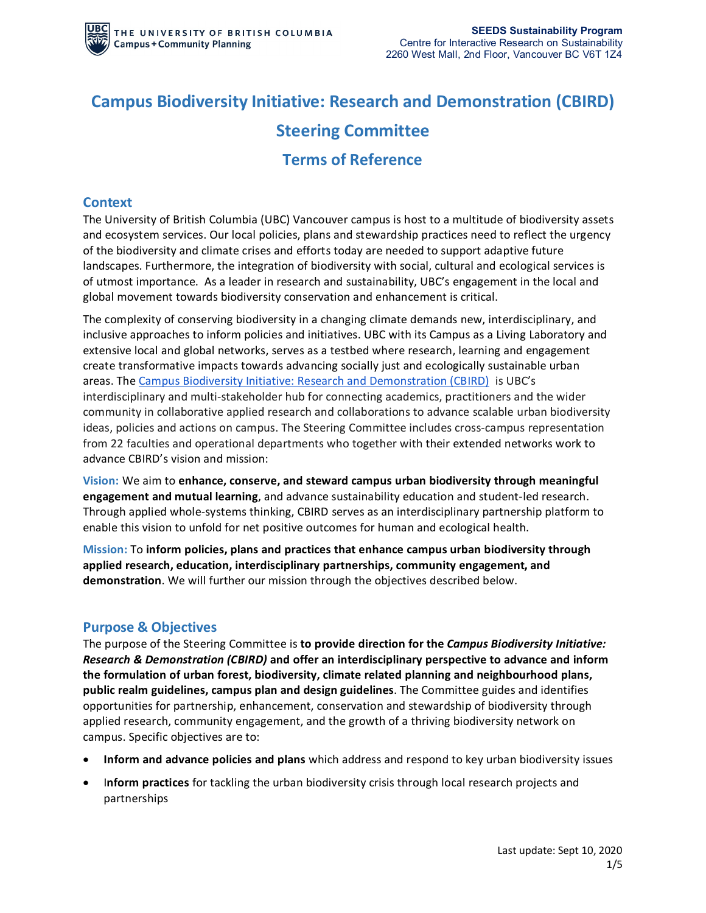# **Campus Biodiversity Initiative: Research and Demonstration (CBIRD) Steering Committee**

## **Terms of Reference**

## **Context**

The University of British Columbia (UBC) Vancouver campus is host to a multitude of biodiversity assets and ecosystem services. Our local policies, plans and stewardship practices need to reflect the urgency of the biodiversity and climate crises and efforts today are needed to support adaptive future landscapes. Furthermore, the integration of biodiversity with social, cultural and ecological services is of utmost importance. As a leader in research and sustainability, UBC's engagement in the local and global movement towards biodiversity conservation and enhancement is critical.

The complexity of conserving biodiversity in a changing climate demands new, interdisciplinary, and inclusive approaches to inform policies and initiatives. UBC with its Campus as a Living Laboratory and extensive local and global networks, serves as a testbed where research, learning and engagement create transformative impacts towards advancing socially just and ecologically sustainable urban areas. The [Campus Biodiversity Initiative: Research and Demonstration \(CBIRD\)](https://sustain.ubc.ca/campus-initiatives/biodiversity-ubc) is UBC's interdisciplinary and multi-stakeholder hub for connecting academics, practitioners and the wider community in collaborative applied research and collaborations to advance scalable urban biodiversity ideas, policies and actions on campus. The Steering Committee includes cross-campus representation from 22 faculties and operational departments who together with their extended networks work to advance CBIRD's vision and mission:

**Vision:** We aim to **enhance, conserve, and steward campus urban biodiversity through meaningful engagement and mutual learning**, and advance sustainability education and student-led research. Through applied whole-systems thinking, CBIRD serves as an interdisciplinary partnership platform to enable this vision to unfold for net positive outcomes for human and ecological health.

**Mission:** To **inform policies, plans and practices that enhance campus urban biodiversity through applied research, education, interdisciplinary partnerships, community engagement, and demonstration**. We will further our mission through the objectives described below.

## **Purpose & Objectives**

The purpose of the Steering Committee is **to provide direction for the** *Campus Biodiversity Initiative: Research & Demonstration (CBIRD)* **and offer an interdisciplinary perspective to advance and inform the formulation of urban forest, biodiversity, climate related planning and neighbourhood plans, public realm guidelines, campus plan and design guidelines**. The Committee guides and identifies opportunities for partnership, enhancement, conservation and stewardship of biodiversity through applied research, community engagement, and the growth of a thriving biodiversity network on campus. Specific objectives are to:

- **Inform and advance policies and plans** which address and respond to key urban biodiversity issues
- I**nform practices** for tackling the urban biodiversity crisis through local research projects and partnerships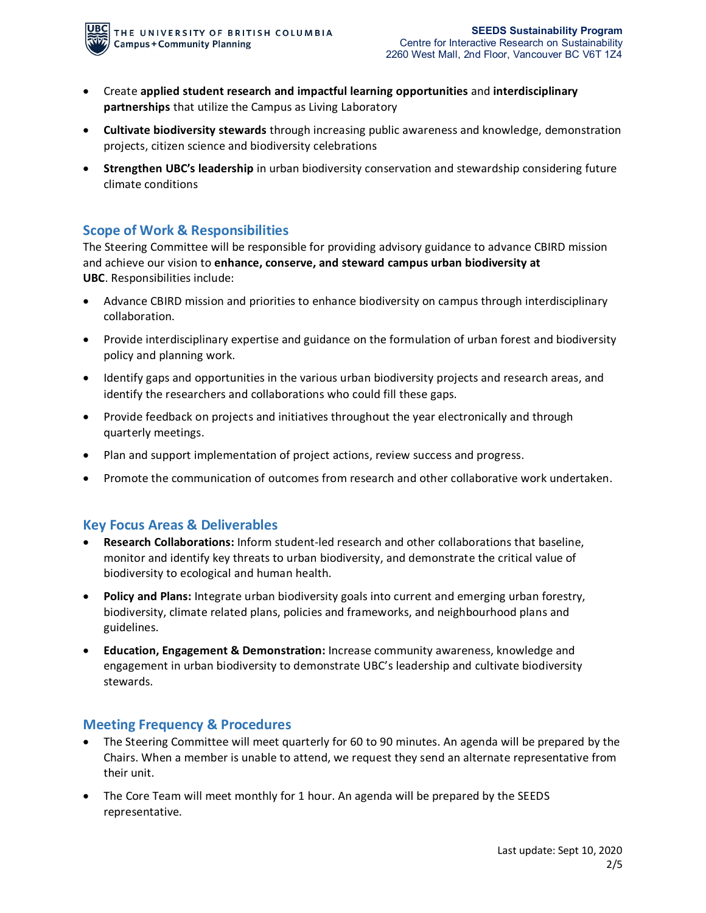- Create **applied student research and impactful learning opportunities** and **interdisciplinary partnerships** that utilize the Campus as Living Laboratory
- **Cultivate biodiversity stewards** through increasing public awareness and knowledge, demonstration projects, citizen science and biodiversity celebrations
- **Strengthen UBC's leadership** in urban biodiversity conservation and stewardship considering future climate conditions

## **Scope of Work & Responsibilities**

The Steering Committee will be responsible for providing advisory guidance to advance CBIRD mission and achieve our vision to **enhance, conserve, and steward campus urban biodiversity at UBC**. Responsibilities include:

- Advance CBIRD mission and priorities to enhance biodiversity on campus through interdisciplinary collaboration.
- Provide interdisciplinary expertise and guidance on the formulation of urban forest and biodiversity policy and planning work.
- Identify gaps and opportunities in the various urban biodiversity projects and research areas, and identify the researchers and collaborations who could fill these gaps.
- Provide feedback on projects and initiatives throughout the year electronically and through quarterly meetings.
- Plan and support implementation of project actions, review success and progress.
- Promote the communication of outcomes from research and other collaborative work undertaken.

## **Key Focus Areas & Deliverables**

- **Research Collaborations:** Inform student-led research and other collaborations that baseline, monitor and identify key threats to urban biodiversity, and demonstrate the critical value of biodiversity to ecological and human health.
- **Policy and Plans:** Integrate urban biodiversity goals into current and emerging urban forestry, biodiversity, climate related plans, policies and frameworks, and neighbourhood plans and guidelines.
- **Education, Engagement & Demonstration:** Increase community awareness, knowledge and engagement in urban biodiversity to demonstrate UBC's leadership and cultivate biodiversity stewards.

## **Meeting Frequency & Procedures**

- The Steering Committee will meet quarterly for 60 to 90 minutes. An agenda will be prepared by the Chairs. When a member is unable to attend, we request they send an alternate representative from their unit.
- The Core Team will meet monthly for 1 hour. An agenda will be prepared by the SEEDS representative.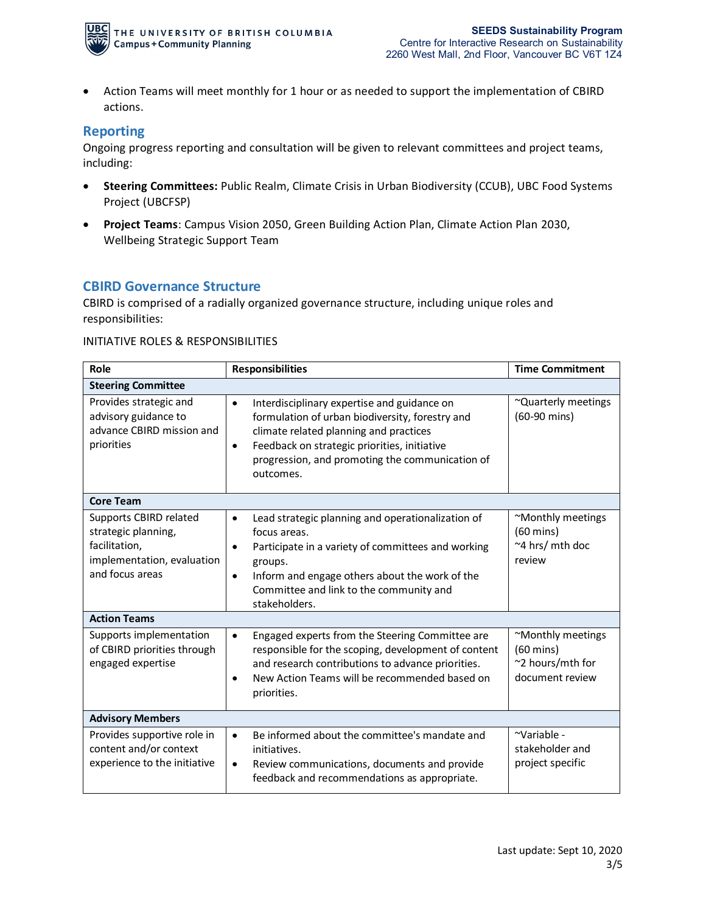

• Action Teams will meet monthly for 1 hour or as needed to support the implementation of CBIRD actions.

#### **Reporting**

Ongoing progress reporting and consultation will be given to relevant committees and project teams, including:

- **Steering Committees:** Public Realm, Climate Crisis in Urban Biodiversity (CCUB), UBC Food Systems Project (UBCFSP)
- **Project Teams**: Campus Vision 2050, Green Building Action Plan, Climate Action Plan 2030, Wellbeing Strategic Support Team

#### **CBIRD Governance Structure**

CBIRD is comprised of a radially organized governance structure, including unique roles and responsibilities:

#### INITIATIVE ROLES & RESPONSIBILITIES

| Role                                                                                                            | <b>Responsibilities</b>                                                                                                                                                                                                                                                         | <b>Time Commitment</b>                                                          |
|-----------------------------------------------------------------------------------------------------------------|---------------------------------------------------------------------------------------------------------------------------------------------------------------------------------------------------------------------------------------------------------------------------------|---------------------------------------------------------------------------------|
| <b>Steering Committee</b>                                                                                       |                                                                                                                                                                                                                                                                                 |                                                                                 |
| Provides strategic and<br>advisory guidance to<br>advance CBIRD mission and<br>priorities                       | Interdisciplinary expertise and guidance on<br>$\bullet$<br>formulation of urban biodiversity, forestry and<br>climate related planning and practices<br>Feedback on strategic priorities, initiative<br>٠<br>progression, and promoting the communication of<br>outcomes.      | ~Quarterly meetings<br>(60-90 mins)                                             |
| <b>Core Team</b>                                                                                                |                                                                                                                                                                                                                                                                                 |                                                                                 |
| Supports CBIRD related<br>strategic planning,<br>facilitation,<br>implementation, evaluation<br>and focus areas | Lead strategic planning and operationalization of<br>$\bullet$<br>focus areas.<br>Participate in a variety of committees and working<br>٠<br>groups.<br>Inform and engage others about the work of the<br>$\bullet$<br>Committee and link to the community and<br>stakeholders. | ~Monthly meetings<br>$(60 \text{ mins})$<br>~4 hrs/ mth doc<br>review           |
| <b>Action Teams</b>                                                                                             |                                                                                                                                                                                                                                                                                 |                                                                                 |
| Supports implementation<br>of CBIRD priorities through<br>engaged expertise                                     | Engaged experts from the Steering Committee are<br>$\bullet$<br>responsible for the scoping, development of content<br>and research contributions to advance priorities.<br>New Action Teams will be recommended based on<br>٠<br>priorities.                                   | ~Monthly meetings<br>$(60 \text{ mins})$<br>~2 hours/mth for<br>document review |
| <b>Advisory Members</b>                                                                                         |                                                                                                                                                                                                                                                                                 |                                                                                 |
| Provides supportive role in<br>content and/or context<br>experience to the initiative                           | Be informed about the committee's mandate and<br>$\bullet$<br>initiatives.<br>Review communications, documents and provide<br>$\bullet$<br>feedback and recommendations as appropriate.                                                                                         | ~Variable -<br>stakeholder and<br>project specific                              |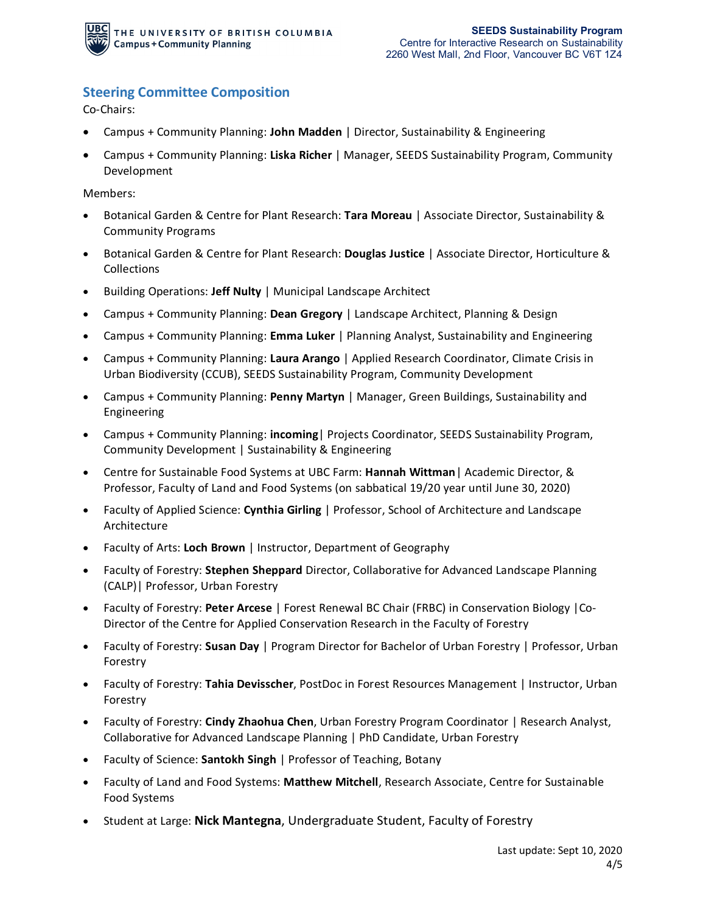

## **Steering Committee Composition**

Co-Chairs:

- Campus + Community Planning: **John Madden** | Director, Sustainability & Engineering
- Campus + Community Planning: **Liska Richer** | Manager, SEEDS Sustainability Program, Community Development

Members:

- Botanical Garden & Centre for Plant Research: **Tara Moreau** | Associate Director, Sustainability & Community Programs
- Botanical Garden & Centre for Plant Research: **Douglas Justice** | Associate Director, Horticulture & Collections
- Building Operations: **Jeff Nulty** | Municipal Landscape Architect
- Campus + Community Planning: **Dean Gregory** | Landscape Architect, Planning & Design
- Campus + Community Planning: **Emma Luker** | Planning Analyst, Sustainability and Engineering
- Campus + Community Planning: **Laura Arango** | Applied Research Coordinator, Climate Crisis in Urban Biodiversity (CCUB), SEEDS Sustainability Program, Community Development
- Campus + Community Planning: **Penny Martyn** | Manager, Green Buildings, Sustainability and Engineering
- Campus + Community Planning: **incoming**| Projects Coordinator, SEEDS Sustainability Program, Community Development | Sustainability & Engineering
- Centre for Sustainable Food Systems at UBC Farm: **Hannah Wittman**| Academic Director, & Professor, Faculty of Land and Food Systems (on sabbatical 19/20 year until June 30, 2020)
- Faculty of Applied Science: **Cynthia Girling** | Professor, School of Architecture and Landscape Architecture
- Faculty of Arts: **Loch Brown** | Instructor, Department of Geography
- Faculty of Forestry: **Stephen Sheppard** Director, Collaborative for Advanced Landscape Planning (CALP)| Professor, Urban Forestry
- Faculty of Forestry: **Peter Arcese** | Forest Renewal BC Chair (FRBC) in Conservation Biology |Co-Director of the Centre for Applied Conservation Research in the Faculty of Forestry
- Faculty of Forestry: **Susan Day** | Program Director for Bachelor of Urban Forestry | Professor, Urban Forestry
- Faculty of Forestry: **Tahia Devisscher**, PostDoc in Forest Resources Management | Instructor, Urban Forestry
- Faculty of Forestry: **Cindy Zhaohua Chen**, Urban Forestry Program Coordinator | Research Analyst, Collaborative for Advanced Landscape Planning | PhD Candidate, Urban Forestry
- Faculty of Science: **Santokh Singh** | Professor of Teaching, Botany
- Faculty of Land and Food Systems: **Matthew Mitchell**, Research Associate, Centre for Sustainable Food Systems
- Student at Large: **Nick Mantegna**, Undergraduate Student, Faculty of Forestry